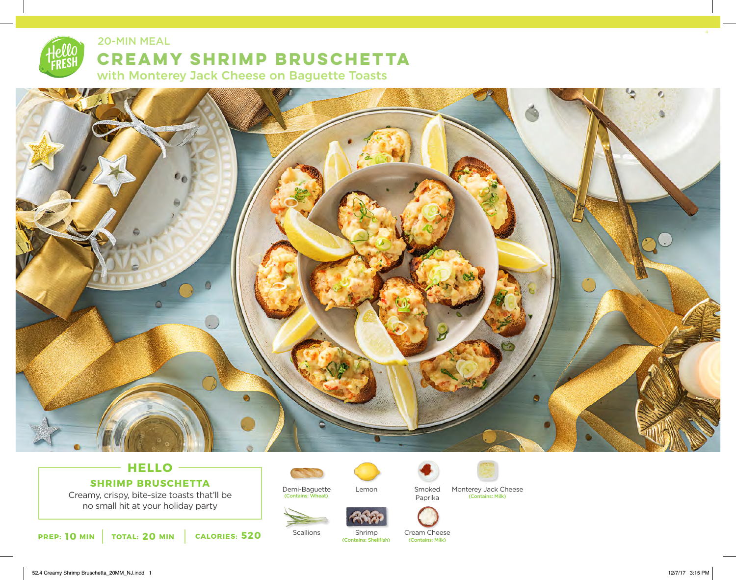

#### 20-MIN MEAL

# **CREAMY SHRIMP BRUSCHETTA**

with Monterey Jack Cheese on Baguette Toasts



# **HELLO SHRIMP BRUSCHETTA**

Creamy, crispy, bite-size toasts that'll be no small hit at your holiday party







**Scallions** (Contains: Shellfish)



Shrimp

Cream Cheese<br>
(Contains: Milk)

Smoked Paprika



Demi-Baguette Lemon Smoked Monterey Jack C<br>
Contains: Wheat) Contains: Wheat) Contains: Milk) Lemon Smoked Monterey Jack Cheese<br>Paprika (Contains: Milk)